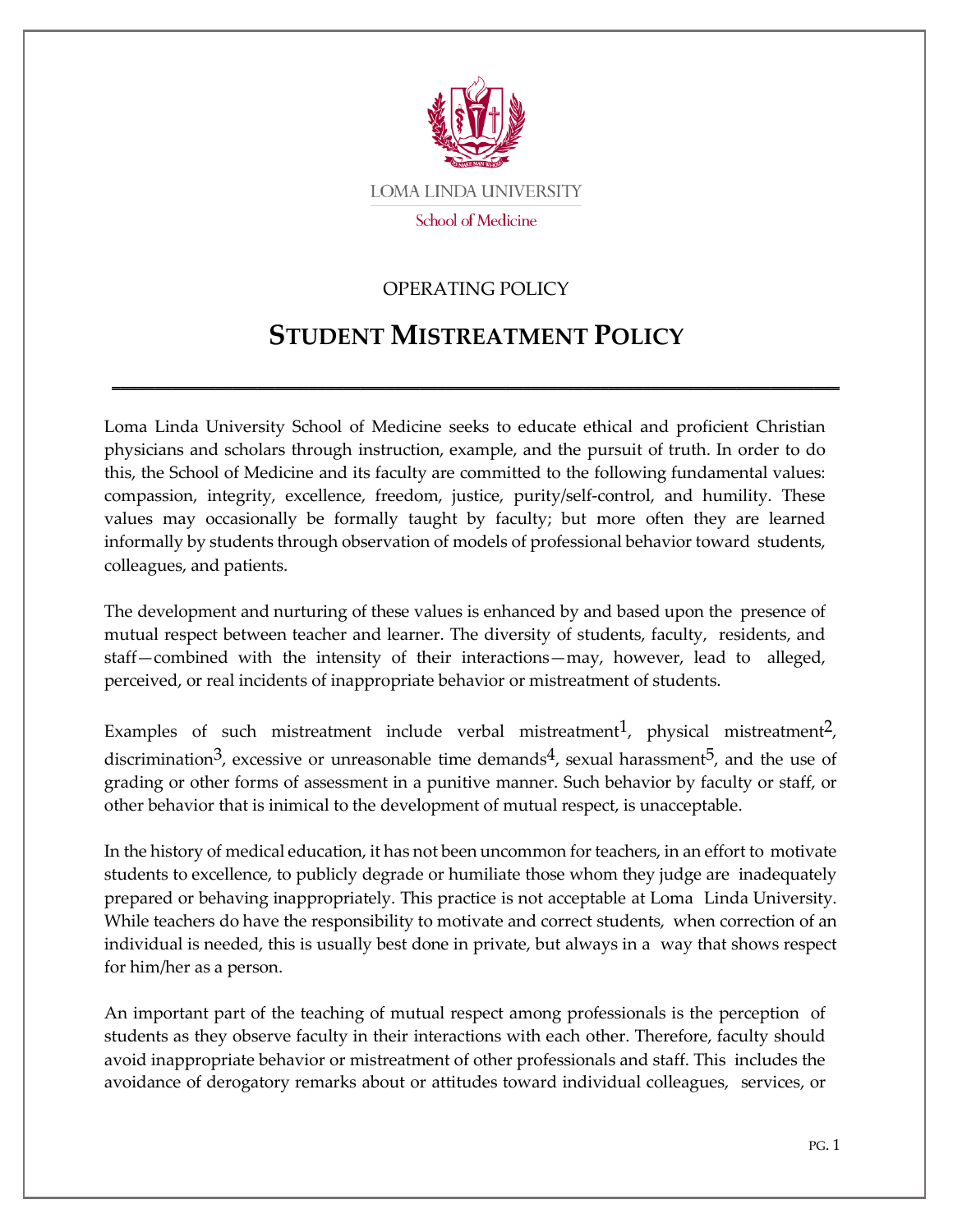

## OPERATING POLICY

## **STUDENT MISTREATMENT POLICY**

\_\_\_\_\_\_\_\_\_\_\_\_\_\_\_\_\_\_\_\_\_\_\_\_\_\_\_\_\_\_\_\_\_\_\_\_\_\_\_\_\_\_\_\_\_\_\_\_\_\_\_\_\_\_\_\_\_\_\_\_\_\_\_\_\_\_\_\_\_\_\_\_\_\_\_\_\_\_\_\_\_\_\_\_\_

Loma Linda University School of Medicine seeks to educate ethical and proficient Christian physicians and scholars through instruction, example, and the pursuit of truth. In order to do this, the School of Medicine and its faculty are committed to the following fundamental values: compassion, integrity, excellence, freedom, justice, purity/self-control, and humility. These values may occasionally be formally taught by faculty; but more often they are learned informally by students through observation of models of professional behavior toward students, colleagues, and patients.

The development and nurturing of these values is enhanced by and based upon the presence of mutual respect between teacher and learner. The diversity of students, faculty, residents, and staff—combined with the intensity of their interactions—may, however, lead to alleged, perceived, or real incidents of inappropriate behavior or mistreatment of students.

Examples of such mistreatment include verbal mistreatment<sup>1</sup>, physical mistreatment<sup>2</sup>, discrimination<sup>3</sup>, excessive or unreasonable time demands<sup>4</sup>, sexual harassment<sup>5</sup>, and the use of grading or other forms of assessment in a punitive manner. Such behavior by faculty or staff, or other behavior that is inimical to the development of mutual respect, is unacceptable.

In the history of medical education, it has not been uncommon for teachers, in an effort to motivate students to excellence, to publicly degrade or humiliate those whom they judge are inadequately prepared or behaving inappropriately. This practice is not acceptable at Loma Linda University. While teachers do have the responsibility to motivate and correct students, when correction of an individual is needed, this is usually best done in private, but always in a way that shows respect for him/her as a person.

An important part of the teaching of mutual respect among professionals is the perception of students as they observe faculty in their interactions with each other. Therefore, faculty should avoid inappropriate behavior or mistreatment of other professionals and staff. This includes the avoidance of derogatory remarks about or attitudes toward individual colleagues, services, or